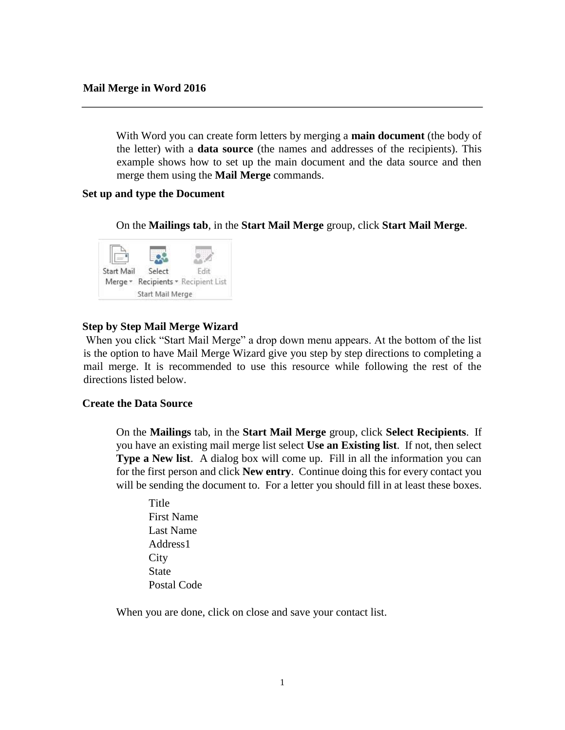With Word you can create form letters by merging a **main document** (the body of the letter) with a **data source** (the names and addresses of the recipients). This example shows how to set up the main document and the data source and then merge them using the **Mail Merge** commands.

### **Set up and type the Document**

On the **Mailings tab**, in the **Start Mail Merge** group, click **Start Mail Merge**.



# **Step by Step Mail Merge Wizard**

When you click "Start Mail Merge" a drop down menu appears. At the bottom of the list is the option to have Mail Merge Wizard give you step by step directions to completing a mail merge. It is recommended to use this resource while following the rest of the directions listed below.

### **Create the Data Source**

 On the **Mailings** tab, in the **Start Mail Merge** group, click **Select Recipients**. If you have an existing mail merge list select **Use an Existing list**. If not, then select **Type a New list.** A dialog box will come up. Fill in all the information you can for the first person and click **New entry**. Continue doing this for every contact you will be sending the document to. For a letter you should fill in at least these boxes.

Title First Name Last Name Address1 **City State** Postal Code

When you are done, click on close and save your contact list.